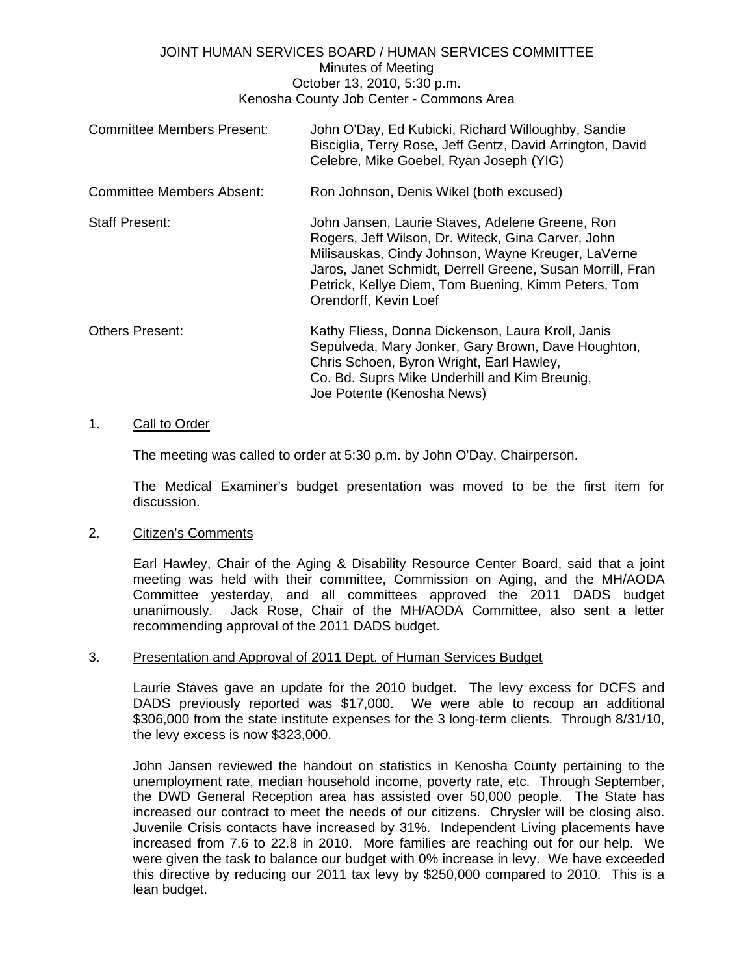### JOINT HUMAN SERVICES BOARD / HUMAN SERVICES COMMITTEE

Minutes of Meeting October 13, 2010, 5:30 p.m. Kenosha County Job Center - Commons Area

| <b>Committee Members Present:</b> | John O'Day, Ed Kubicki, Richard Willoughby, Sandie<br>Bisciglia, Terry Rose, Jeff Gentz, David Arrington, David<br>Celebre, Mike Goebel, Ryan Joseph (YIG)                                                                                                                                               |
|-----------------------------------|----------------------------------------------------------------------------------------------------------------------------------------------------------------------------------------------------------------------------------------------------------------------------------------------------------|
| <b>Committee Members Absent:</b>  | Ron Johnson, Denis Wikel (both excused)                                                                                                                                                                                                                                                                  |
| Staff Present:                    | John Jansen, Laurie Staves, Adelene Greene, Ron<br>Rogers, Jeff Wilson, Dr. Witeck, Gina Carver, John<br>Milisauskas, Cindy Johnson, Wayne Kreuger, LaVerne<br>Jaros, Janet Schmidt, Derrell Greene, Susan Morrill, Fran<br>Petrick, Kellye Diem, Tom Buening, Kimm Peters, Tom<br>Orendorff, Kevin Loef |
| <b>Others Present:</b>            | Kathy Fliess, Donna Dickenson, Laura Kroll, Janis<br>Sepulveda, Mary Jonker, Gary Brown, Dave Houghton,<br>Chris Schoen, Byron Wright, Earl Hawley,<br>Co. Bd. Suprs Mike Underhill and Kim Breunig,<br>Joe Potente (Kenosha News)                                                                       |

#### 1. Call to Order

The meeting was called to order at 5:30 p.m. by John O'Day, Chairperson.

 The Medical Examiner's budget presentation was moved to be the first item for discussion.

#### 2. Citizen's Comments

 Earl Hawley, Chair of the Aging & Disability Resource Center Board, said that a joint meeting was held with their committee, Commission on Aging, and the MH/AODA Committee yesterday, and all committees approved the 2011 DADS budget unanimously. Jack Rose, Chair of the MH/AODA Committee, also sent a letter recommending approval of the 2011 DADS budget.

#### 3. Presentation and Approval of 2011 Dept. of Human Services Budget

 Laurie Staves gave an update for the 2010 budget. The levy excess for DCFS and DADS previously reported was \$17,000. We were able to recoup an additional \$306,000 from the state institute expenses for the 3 long-term clients. Through 8/31/10, the levy excess is now \$323,000.

 John Jansen reviewed the handout on statistics in Kenosha County pertaining to the unemployment rate, median household income, poverty rate, etc. Through September, the DWD General Reception area has assisted over 50,000 people. The State has increased our contract to meet the needs of our citizens. Chrysler will be closing also. Juvenile Crisis contacts have increased by 31%. Independent Living placements have increased from 7.6 to 22.8 in 2010. More families are reaching out for our help. We were given the task to balance our budget with 0% increase in levy. We have exceeded this directive by reducing our 2011 tax levy by \$250,000 compared to 2010. This is a lean budget.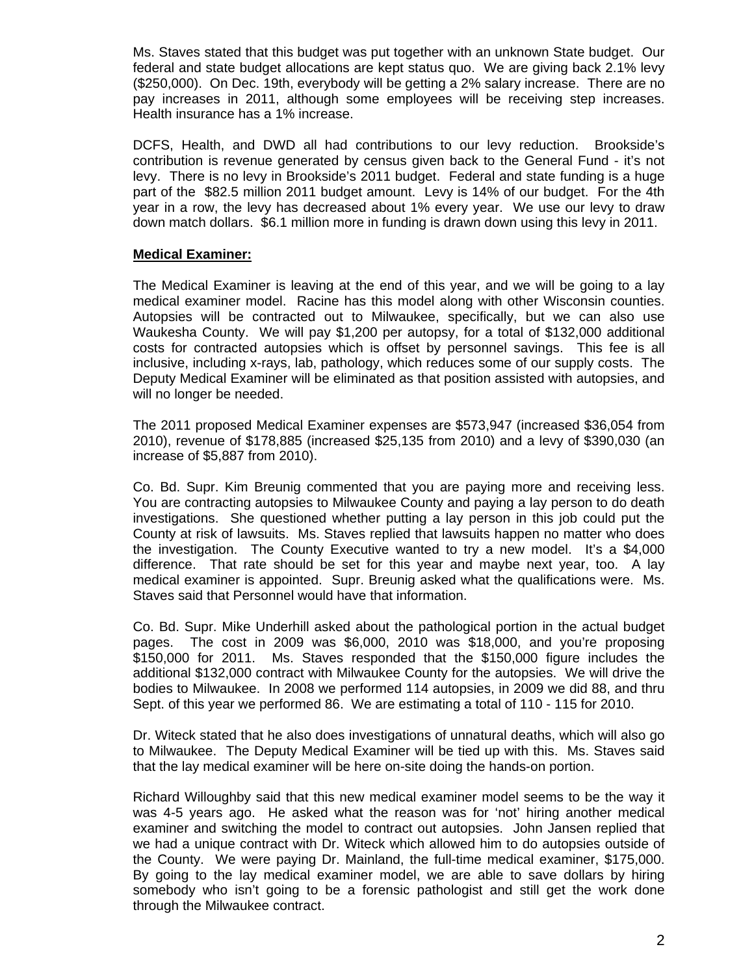Ms. Staves stated that this budget was put together with an unknown State budget. Our federal and state budget allocations are kept status quo. We are giving back 2.1% levy (\$250,000). On Dec. 19th, everybody will be getting a 2% salary increase. There are no pay increases in 2011, although some employees will be receiving step increases. Health insurance has a 1% increase.

 DCFS, Health, and DWD all had contributions to our levy reduction. Brookside's contribution is revenue generated by census given back to the General Fund - it's not levy. There is no levy in Brookside's 2011 budget. Federal and state funding is a huge part of the \$82.5 million 2011 budget amount. Levy is 14% of our budget. For the 4th year in a row, the levy has decreased about 1% every year. We use our levy to draw down match dollars. \$6.1 million more in funding is drawn down using this levy in 2011.

## **Medical Examiner:**

 The Medical Examiner is leaving at the end of this year, and we will be going to a lay medical examiner model. Racine has this model along with other Wisconsin counties. Autopsies will be contracted out to Milwaukee, specifically, but we can also use Waukesha County. We will pay \$1,200 per autopsy, for a total of \$132,000 additional costs for contracted autopsies which is offset by personnel savings. This fee is all inclusive, including x-rays, lab, pathology, which reduces some of our supply costs. The Deputy Medical Examiner will be eliminated as that position assisted with autopsies, and will no longer be needed.

The 2011 proposed Medical Examiner expenses are \$573,947 (increased \$36,054 from 2010), revenue of \$178,885 (increased \$25,135 from 2010) and a levy of \$390,030 (an increase of \$5,887 from 2010).

 Co. Bd. Supr. Kim Breunig commented that you are paying more and receiving less. You are contracting autopsies to Milwaukee County and paying a lay person to do death investigations. She questioned whether putting a lay person in this job could put the County at risk of lawsuits. Ms. Staves replied that lawsuits happen no matter who does the investigation. The County Executive wanted to try a new model. It's a \$4,000 difference. That rate should be set for this year and maybe next year, too. A lay medical examiner is appointed. Supr. Breunig asked what the qualifications were. Ms. Staves said that Personnel would have that information.

 Co. Bd. Supr. Mike Underhill asked about the pathological portion in the actual budget pages. The cost in 2009 was \$6,000, 2010 was \$18,000, and you're proposing \$150,000 for 2011. Ms. Staves responded that the \$150,000 figure includes the additional \$132,000 contract with Milwaukee County for the autopsies. We will drive the bodies to Milwaukee. In 2008 we performed 114 autopsies, in 2009 we did 88, and thru Sept. of this year we performed 86. We are estimating a total of 110 - 115 for 2010.

 Dr. Witeck stated that he also does investigations of unnatural deaths, which will also go to Milwaukee. The Deputy Medical Examiner will be tied up with this. Ms. Staves said that the lay medical examiner will be here on-site doing the hands-on portion.

 Richard Willoughby said that this new medical examiner model seems to be the way it was 4-5 years ago. He asked what the reason was for 'not' hiring another medical examiner and switching the model to contract out autopsies. John Jansen replied that we had a unique contract with Dr. Witeck which allowed him to do autopsies outside of the County. We were paying Dr. Mainland, the full-time medical examiner, \$175,000. By going to the lay medical examiner model, we are able to save dollars by hiring somebody who isn't going to be a forensic pathologist and still get the work done through the Milwaukee contract.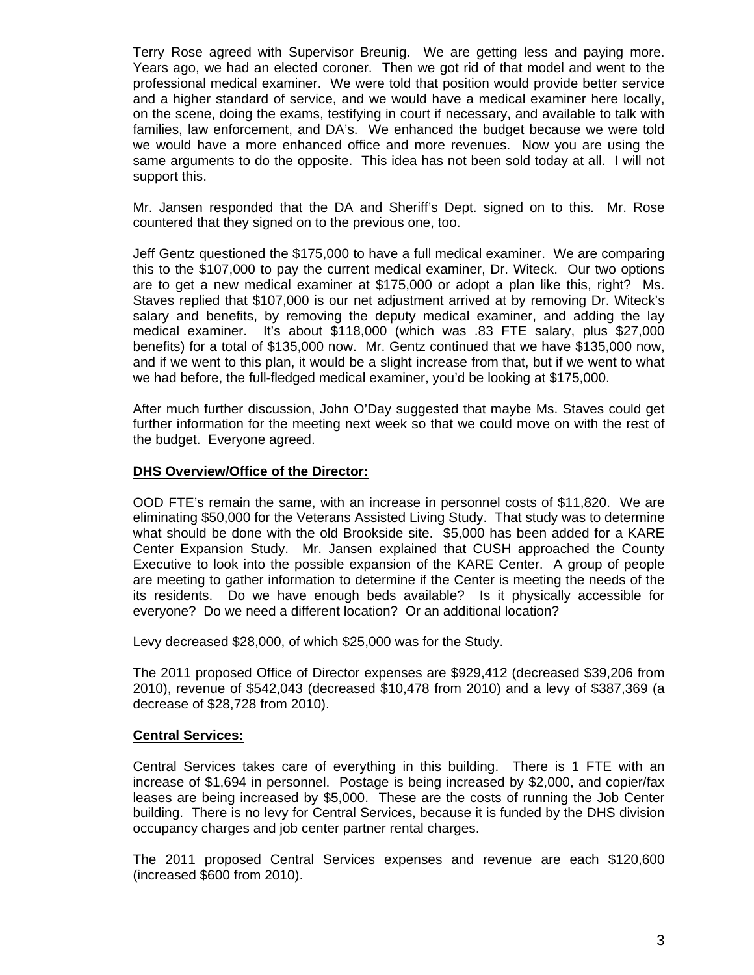Terry Rose agreed with Supervisor Breunig. We are getting less and paying more. Years ago, we had an elected coroner. Then we got rid of that model and went to the professional medical examiner. We were told that position would provide better service and a higher standard of service, and we would have a medical examiner here locally, on the scene, doing the exams, testifying in court if necessary, and available to talk with families, law enforcement, and DA's. We enhanced the budget because we were told we would have a more enhanced office and more revenues. Now you are using the same arguments to do the opposite. This idea has not been sold today at all. I will not support this.

 Mr. Jansen responded that the DA and Sheriff's Dept. signed on to this. Mr. Rose countered that they signed on to the previous one, too.

 Jeff Gentz questioned the \$175,000 to have a full medical examiner. We are comparing this to the \$107,000 to pay the current medical examiner, Dr. Witeck. Our two options are to get a new medical examiner at \$175,000 or adopt a plan like this, right? Ms. Staves replied that \$107,000 is our net adjustment arrived at by removing Dr. Witeck's salary and benefits, by removing the deputy medical examiner, and adding the lay medical examiner. It's about \$118,000 (which was .83 FTE salary, plus \$27,000 benefits) for a total of \$135,000 now. Mr. Gentz continued that we have \$135,000 now, and if we went to this plan, it would be a slight increase from that, but if we went to what we had before, the full-fledged medical examiner, you'd be looking at \$175,000.

 After much further discussion, John O'Day suggested that maybe Ms. Staves could get further information for the meeting next week so that we could move on with the rest of the budget. Everyone agreed.

## **DHS Overview/Office of the Director:**

 OOD FTE's remain the same, with an increase in personnel costs of \$11,820. We are eliminating \$50,000 for the Veterans Assisted Living Study. That study was to determine what should be done with the old Brookside site. \$5,000 has been added for a KARE Center Expansion Study. Mr. Jansen explained that CUSH approached the County Executive to look into the possible expansion of the KARE Center. A group of people are meeting to gather information to determine if the Center is meeting the needs of the its residents. Do we have enough beds available? Is it physically accessible for everyone? Do we need a different location? Or an additional location?

Levy decreased \$28,000, of which \$25,000 was for the Study.

The 2011 proposed Office of Director expenses are \$929,412 (decreased \$39,206 from 2010), revenue of \$542,043 (decreased \$10,478 from 2010) and a levy of \$387,369 (a decrease of \$28,728 from 2010).

#### **Central Services:**

Central Services takes care of everything in this building. There is 1 FTE with an increase of \$1,694 in personnel. Postage is being increased by \$2,000, and copier/fax leases are being increased by \$5,000. These are the costs of running the Job Center building. There is no levy for Central Services, because it is funded by the DHS division occupancy charges and job center partner rental charges.

The 2011 proposed Central Services expenses and revenue are each \$120,600 (increased \$600 from 2010).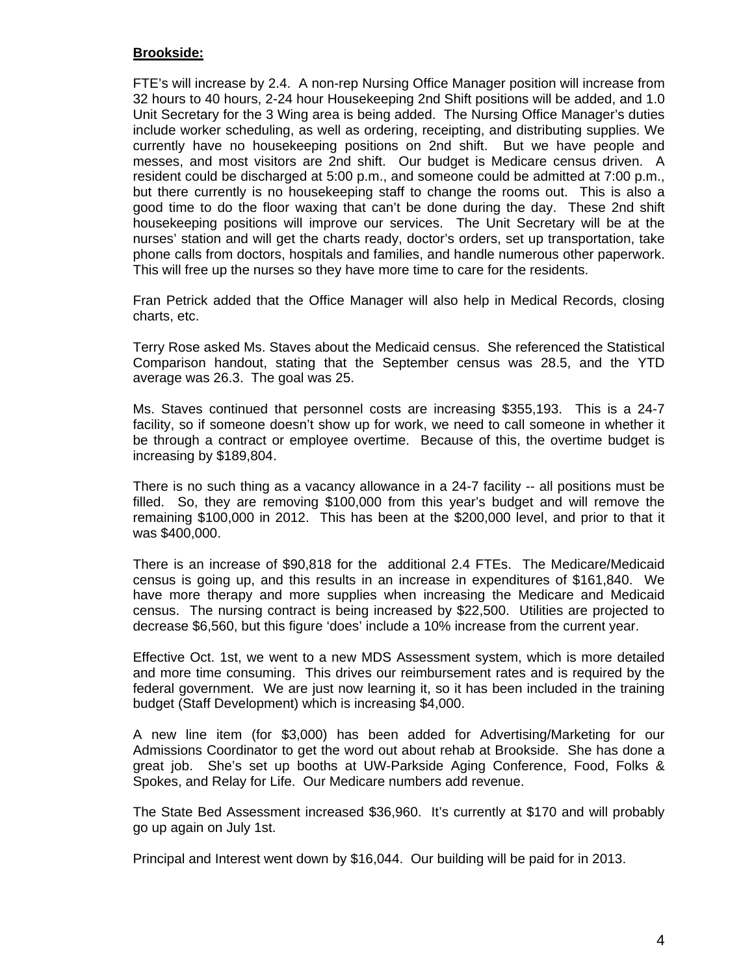## **Brookside:**

 FTE's will increase by 2.4. A non-rep Nursing Office Manager position will increase from 32 hours to 40 hours, 2-24 hour Housekeeping 2nd Shift positions will be added, and 1.0 Unit Secretary for the 3 Wing area is being added. The Nursing Office Manager's duties include worker scheduling, as well as ordering, receipting, and distributing supplies. We currently have no housekeeping positions on 2nd shift. But we have people and messes, and most visitors are 2nd shift. Our budget is Medicare census driven. A resident could be discharged at 5:00 p.m., and someone could be admitted at 7:00 p.m., but there currently is no housekeeping staff to change the rooms out. This is also a good time to do the floor waxing that can't be done during the day. These 2nd shift housekeeping positions will improve our services. The Unit Secretary will be at the nurses' station and will get the charts ready, doctor's orders, set up transportation, take phone calls from doctors, hospitals and families, and handle numerous other paperwork. This will free up the nurses so they have more time to care for the residents.

 Fran Petrick added that the Office Manager will also help in Medical Records, closing charts, etc.

 Terry Rose asked Ms. Staves about the Medicaid census. She referenced the Statistical Comparison handout, stating that the September census was 28.5, and the YTD average was 26.3. The goal was 25.

 Ms. Staves continued that personnel costs are increasing \$355,193. This is a 24-7 facility, so if someone doesn't show up for work, we need to call someone in whether it be through a contract or employee overtime. Because of this, the overtime budget is increasing by \$189,804.

 There is no such thing as a vacancy allowance in a 24-7 facility -- all positions must be filled. So, they are removing \$100,000 from this year's budget and will remove the remaining \$100,000 in 2012. This has been at the \$200,000 level, and prior to that it was \$400,000.

 There is an increase of \$90,818 for the additional 2.4 FTEs. The Medicare/Medicaid census is going up, and this results in an increase in expenditures of \$161,840. We have more therapy and more supplies when increasing the Medicare and Medicaid census. The nursing contract is being increased by \$22,500. Utilities are projected to decrease \$6,560, but this figure 'does' include a 10% increase from the current year.

 Effective Oct. 1st, we went to a new MDS Assessment system, which is more detailed and more time consuming. This drives our reimbursement rates and is required by the federal government. We are just now learning it, so it has been included in the training budget (Staff Development) which is increasing \$4,000.

 A new line item (for \$3,000) has been added for Advertising/Marketing for our Admissions Coordinator to get the word out about rehab at Brookside. She has done a great job. She's set up booths at UW-Parkside Aging Conference, Food, Folks & Spokes, and Relay for Life. Our Medicare numbers add revenue.

 The State Bed Assessment increased \$36,960. It's currently at \$170 and will probably go up again on July 1st.

Principal and Interest went down by \$16,044. Our building will be paid for in 2013.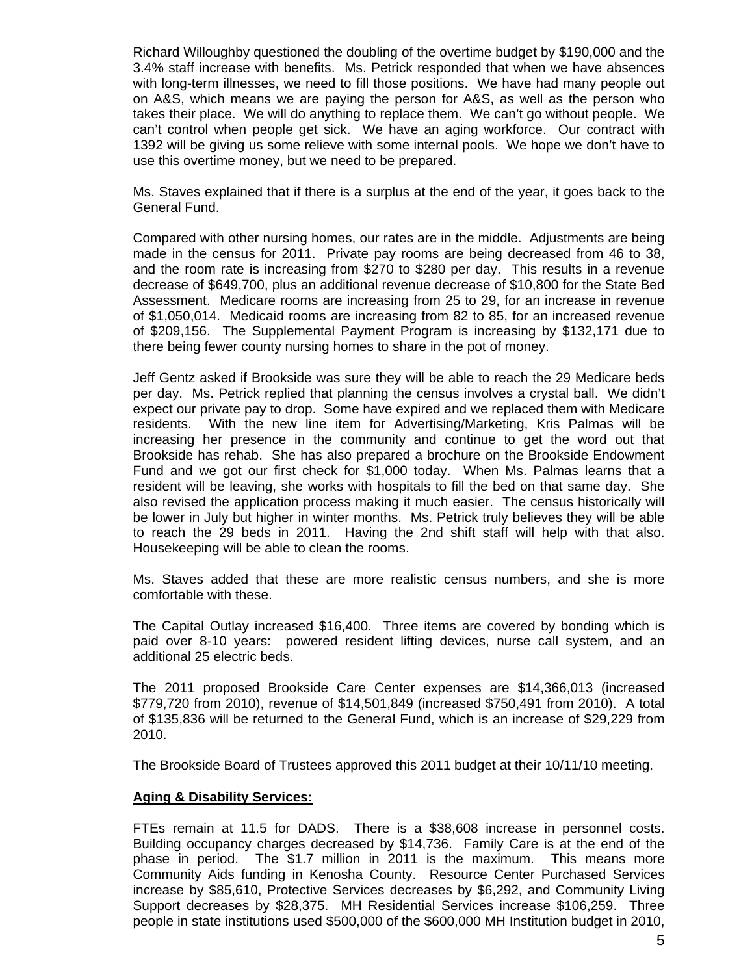Richard Willoughby questioned the doubling of the overtime budget by \$190,000 and the 3.4% staff increase with benefits. Ms. Petrick responded that when we have absences with long-term illnesses, we need to fill those positions. We have had many people out on A&S, which means we are paying the person for A&S, as well as the person who takes their place. We will do anything to replace them. We can't go without people. We can't control when people get sick. We have an aging workforce. Our contract with 1392 will be giving us some relieve with some internal pools. We hope we don't have to use this overtime money, but we need to be prepared.

 Ms. Staves explained that if there is a surplus at the end of the year, it goes back to the General Fund.

 Compared with other nursing homes, our rates are in the middle. Adjustments are being made in the census for 2011. Private pay rooms are being decreased from 46 to 38, and the room rate is increasing from \$270 to \$280 per day. This results in a revenue decrease of \$649,700, plus an additional revenue decrease of \$10,800 for the State Bed Assessment. Medicare rooms are increasing from 25 to 29, for an increase in revenue of \$1,050,014. Medicaid rooms are increasing from 82 to 85, for an increased revenue of \$209,156. The Supplemental Payment Program is increasing by \$132,171 due to there being fewer county nursing homes to share in the pot of money.

 Jeff Gentz asked if Brookside was sure they will be able to reach the 29 Medicare beds per day. Ms. Petrick replied that planning the census involves a crystal ball. We didn't expect our private pay to drop. Some have expired and we replaced them with Medicare residents. With the new line item for Advertising/Marketing, Kris Palmas will be increasing her presence in the community and continue to get the word out that Brookside has rehab. She has also prepared a brochure on the Brookside Endowment Fund and we got our first check for \$1,000 today. When Ms. Palmas learns that a resident will be leaving, she works with hospitals to fill the bed on that same day. She also revised the application process making it much easier. The census historically will be lower in July but higher in winter months. Ms. Petrick truly believes they will be able to reach the 29 beds in 2011. Having the 2nd shift staff will help with that also. Housekeeping will be able to clean the rooms.

 Ms. Staves added that these are more realistic census numbers, and she is more comfortable with these.

 The Capital Outlay increased \$16,400. Three items are covered by bonding which is paid over 8-10 years: powered resident lifting devices, nurse call system, and an additional 25 electric beds.

The 2011 proposed Brookside Care Center expenses are \$14,366,013 (increased \$779,720 from 2010), revenue of \$14,501,849 (increased \$750,491 from 2010). A total of \$135,836 will be returned to the General Fund, which is an increase of \$29,229 from 2010.

The Brookside Board of Trustees approved this 2011 budget at their 10/11/10 meeting.

#### **Aging & Disability Services:**

 FTEs remain at 11.5 for DADS. There is a \$38,608 increase in personnel costs. Building occupancy charges decreased by \$14,736. Family Care is at the end of the phase in period. The \$1.7 million in 2011 is the maximum. This means more Community Aids funding in Kenosha County. Resource Center Purchased Services increase by \$85,610, Protective Services decreases by \$6,292, and Community Living Support decreases by \$28,375. MH Residential Services increase \$106,259. Three people in state institutions used \$500,000 of the \$600,000 MH Institution budget in 2010,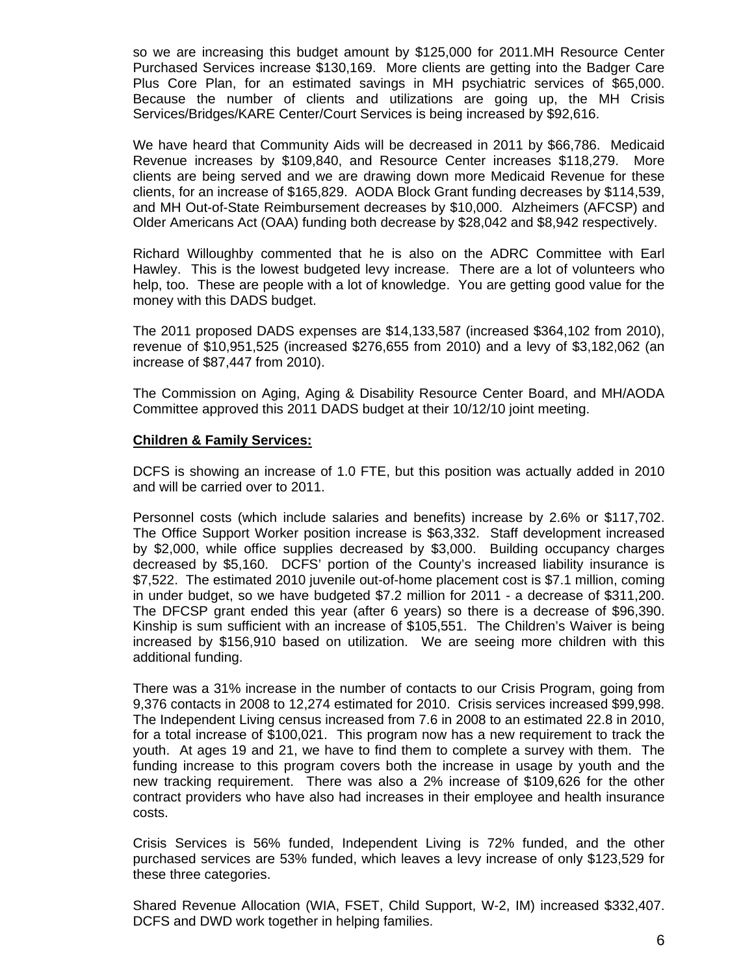so we are increasing this budget amount by \$125,000 for 2011.MH Resource Center Purchased Services increase \$130,169. More clients are getting into the Badger Care Plus Core Plan, for an estimated savings in MH psychiatric services of \$65,000. Because the number of clients and utilizations are going up, the MH Crisis Services/Bridges/KARE Center/Court Services is being increased by \$92,616.

 We have heard that Community Aids will be decreased in 2011 by \$66,786. Medicaid Revenue increases by \$109,840, and Resource Center increases \$118,279. More clients are being served and we are drawing down more Medicaid Revenue for these clients, for an increase of \$165,829. AODA Block Grant funding decreases by \$114,539, and MH Out-of-State Reimbursement decreases by \$10,000. Alzheimers (AFCSP) and Older Americans Act (OAA) funding both decrease by \$28,042 and \$8,942 respectively.

 Richard Willoughby commented that he is also on the ADRC Committee with Earl Hawley. This is the lowest budgeted levy increase. There are a lot of volunteers who help, too. These are people with a lot of knowledge. You are getting good value for the money with this DADS budget.

The 2011 proposed DADS expenses are \$14,133,587 (increased \$364,102 from 2010), revenue of \$10,951,525 (increased \$276,655 from 2010) and a levy of \$3,182,062 (an increase of \$87,447 from 2010).

The Commission on Aging, Aging & Disability Resource Center Board, and MH/AODA Committee approved this 2011 DADS budget at their 10/12/10 joint meeting.

## **Children & Family Services:**

 DCFS is showing an increase of 1.0 FTE, but this position was actually added in 2010 and will be carried over to 2011.

 Personnel costs (which include salaries and benefits) increase by 2.6% or \$117,702. The Office Support Worker position increase is \$63,332. Staff development increased by \$2,000, while office supplies decreased by \$3,000. Building occupancy charges decreased by \$5,160. DCFS' portion of the County's increased liability insurance is \$7,522. The estimated 2010 juvenile out-of-home placement cost is \$7.1 million, coming in under budget, so we have budgeted \$7.2 million for 2011 - a decrease of \$311,200. The DFCSP grant ended this year (after 6 years) so there is a decrease of \$96,390. Kinship is sum sufficient with an increase of \$105,551. The Children's Waiver is being increased by \$156,910 based on utilization. We are seeing more children with this additional funding.

 There was a 31% increase in the number of contacts to our Crisis Program, going from 9,376 contacts in 2008 to 12,274 estimated for 2010. Crisis services increased \$99,998. The Independent Living census increased from 7.6 in 2008 to an estimated 22.8 in 2010, for a total increase of \$100,021. This program now has a new requirement to track the youth. At ages 19 and 21, we have to find them to complete a survey with them. The funding increase to this program covers both the increase in usage by youth and the new tracking requirement. There was also a 2% increase of \$109,626 for the other contract providers who have also had increases in their employee and health insurance costs.

 Crisis Services is 56% funded, Independent Living is 72% funded, and the other purchased services are 53% funded, which leaves a levy increase of only \$123,529 for these three categories.

 Shared Revenue Allocation (WIA, FSET, Child Support, W-2, IM) increased \$332,407. DCFS and DWD work together in helping families.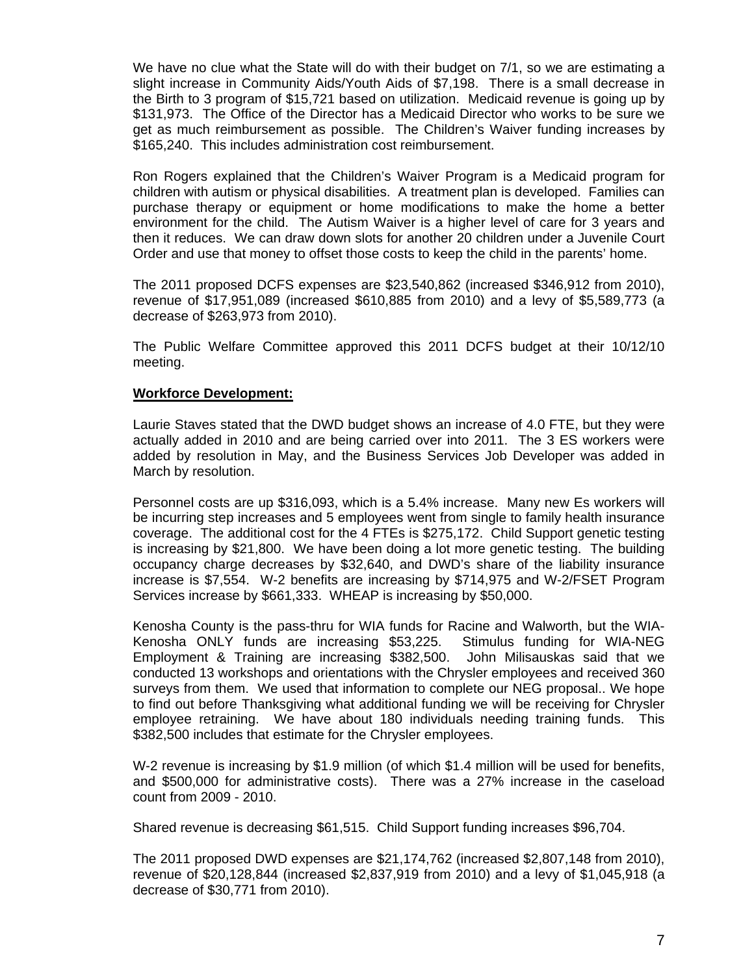We have no clue what the State will do with their budget on 7/1, so we are estimating a slight increase in Community Aids/Youth Aids of \$7,198. There is a small decrease in the Birth to 3 program of \$15,721 based on utilization. Medicaid revenue is going up by \$131,973. The Office of the Director has a Medicaid Director who works to be sure we get as much reimbursement as possible. The Children's Waiver funding increases by \$165,240. This includes administration cost reimbursement.

 Ron Rogers explained that the Children's Waiver Program is a Medicaid program for children with autism or physical disabilities. A treatment plan is developed. Families can purchase therapy or equipment or home modifications to make the home a better environment for the child. The Autism Waiver is a higher level of care for 3 years and then it reduces. We can draw down slots for another 20 children under a Juvenile Court Order and use that money to offset those costs to keep the child in the parents' home.

The 2011 proposed DCFS expenses are \$23,540,862 (increased \$346,912 from 2010), revenue of \$17,951,089 (increased \$610,885 from 2010) and a levy of \$5,589,773 (a decrease of \$263,973 from 2010).

The Public Welfare Committee approved this 2011 DCFS budget at their 10/12/10 meeting.

## **Workforce Development:**

 Laurie Staves stated that the DWD budget shows an increase of 4.0 FTE, but they were actually added in 2010 and are being carried over into 2011. The 3 ES workers were added by resolution in May, and the Business Services Job Developer was added in March by resolution.

 Personnel costs are up \$316,093, which is a 5.4% increase. Many new Es workers will be incurring step increases and 5 employees went from single to family health insurance coverage. The additional cost for the 4 FTEs is \$275,172. Child Support genetic testing is increasing by \$21,800. We have been doing a lot more genetic testing. The building occupancy charge decreases by \$32,640, and DWD's share of the liability insurance increase is \$7,554. W-2 benefits are increasing by \$714,975 and W-2/FSET Program Services increase by \$661,333. WHEAP is increasing by \$50,000.

 Kenosha County is the pass-thru for WIA funds for Racine and Walworth, but the WIA-Kenosha ONLY funds are increasing \$53,225. Stimulus funding for WIA-NEG Employment & Training are increasing \$382,500. John Milisauskas said that we conducted 13 workshops and orientations with the Chrysler employees and received 360 surveys from them. We used that information to complete our NEG proposal.. We hope to find out before Thanksgiving what additional funding we will be receiving for Chrysler employee retraining. We have about 180 individuals needing training funds. This \$382,500 includes that estimate for the Chrysler employees.

 W-2 revenue is increasing by \$1.9 million (of which \$1.4 million will be used for benefits, and \$500,000 for administrative costs). There was a 27% increase in the caseload count from 2009 - 2010.

Shared revenue is decreasing \$61,515. Child Support funding increases \$96,704.

The 2011 proposed DWD expenses are \$21,174,762 (increased \$2,807,148 from 2010), revenue of \$20,128,844 (increased \$2,837,919 from 2010) and a levy of \$1,045,918 (a decrease of \$30,771 from 2010).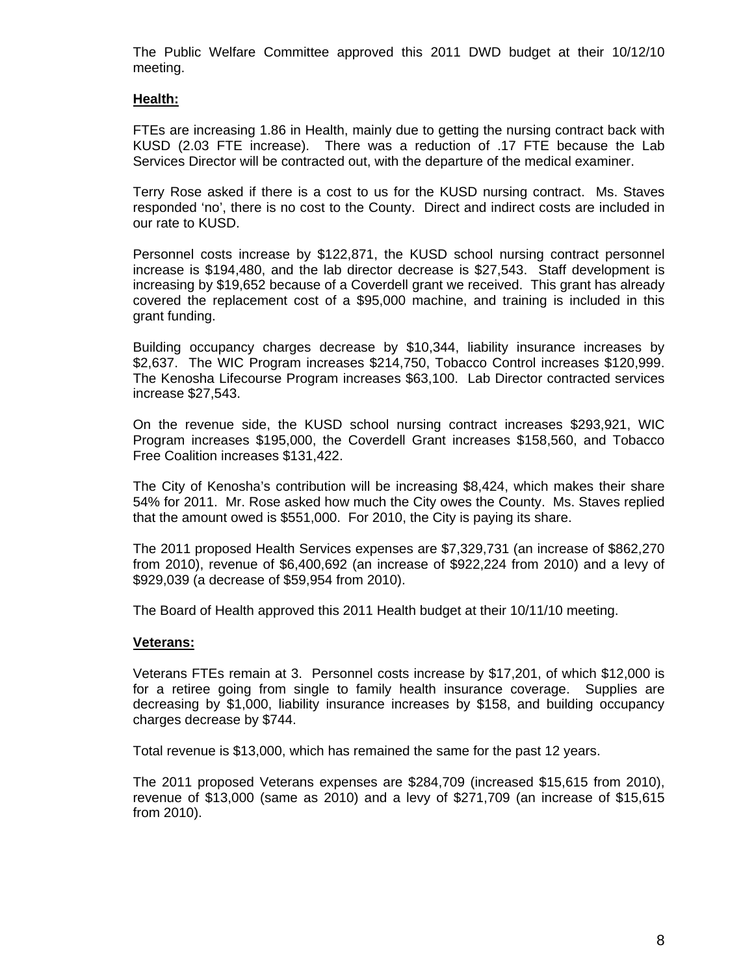The Public Welfare Committee approved this 2011 DWD budget at their 10/12/10 meeting.

# **Health:**

 FTEs are increasing 1.86 in Health, mainly due to getting the nursing contract back with KUSD (2.03 FTE increase). There was a reduction of .17 FTE because the Lab Services Director will be contracted out, with the departure of the medical examiner.

 Terry Rose asked if there is a cost to us for the KUSD nursing contract. Ms. Staves responded 'no', there is no cost to the County. Direct and indirect costs are included in our rate to KUSD.

 Personnel costs increase by \$122,871, the KUSD school nursing contract personnel increase is \$194,480, and the lab director decrease is \$27,543. Staff development is increasing by \$19,652 because of a Coverdell grant we received. This grant has already covered the replacement cost of a \$95,000 machine, and training is included in this grant funding.

 Building occupancy charges decrease by \$10,344, liability insurance increases by \$2,637. The WIC Program increases \$214,750, Tobacco Control increases \$120,999. The Kenosha Lifecourse Program increases \$63,100. Lab Director contracted services increase \$27,543.

 On the revenue side, the KUSD school nursing contract increases \$293,921, WIC Program increases \$195,000, the Coverdell Grant increases \$158,560, and Tobacco Free Coalition increases \$131,422.

 The City of Kenosha's contribution will be increasing \$8,424, which makes their share 54% for 2011. Mr. Rose asked how much the City owes the County. Ms. Staves replied that the amount owed is \$551,000. For 2010, the City is paying its share.

The 2011 proposed Health Services expenses are \$7,329,731 (an increase of \$862,270 from 2010), revenue of \$6,400,692 (an increase of \$922,224 from 2010) and a levy of \$929,039 (a decrease of \$59,954 from 2010).

The Board of Health approved this 2011 Health budget at their 10/11/10 meeting.

#### **Veterans:**

Veterans FTEs remain at 3. Personnel costs increase by \$17,201, of which \$12,000 is for a retiree going from single to family health insurance coverage. Supplies are decreasing by \$1,000, liability insurance increases by \$158, and building occupancy charges decrease by \$744.

Total revenue is \$13,000, which has remained the same for the past 12 years.

The 2011 proposed Veterans expenses are \$284,709 (increased \$15,615 from 2010), revenue of \$13,000 (same as 2010) and a levy of \$271,709 (an increase of \$15,615 from 2010).